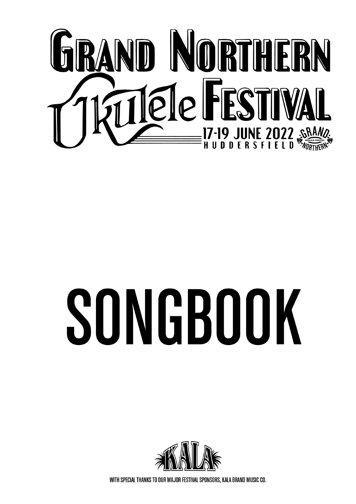

# SONGBOOK



WITH SPECIAL THANKS TO OUR MAJOR FESTIVAL SPONSORS, KALA BRAND MUSIC CO.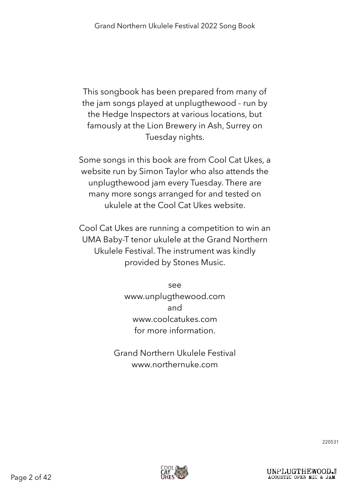This songbook has been prepared from many of the jam songs played at unplugthewood - run by the Hedge Inspectors at various locations, but famously at the Lion Brewery in Ash, Surrey on Tuesday nights.

Some songs in this book are from Cool Cat Ukes, a website run by Simon Taylor who also attends the unplugthewood jam every Tuesday. There are many more songs arranged for and tested on ukulele at the Cool Cat Ukes website.

Cool Cat Ukes are running a competition to win an UMA Baby-T tenor ukulele at the Grand Northern Ukulele Festival. The instrument was kindly provided by Stones Music.

> see www.unplugthewood.com and www.coolcatukes.com for more information.

Grand Northern Ukulele Festival www.northernuke.com

220531

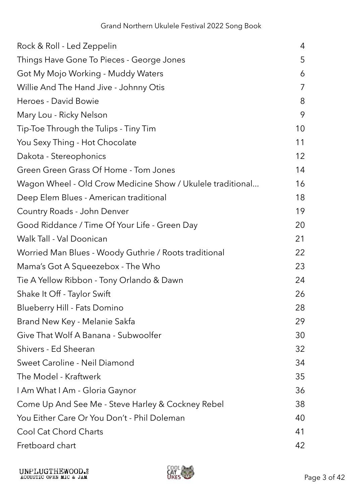| Rock & Roll - Led Zeppelin                                 | 4  |
|------------------------------------------------------------|----|
| Things Have Gone To Pieces - George Jones                  | 5  |
| Got My Mojo Working - Muddy Waters                         | 6  |
| Willie And The Hand Jive - Johnny Otis                     | 7  |
| Heroes - David Bowie                                       | 8  |
| Mary Lou - Ricky Nelson                                    | 9  |
| Tip-Toe Through the Tulips - Tiny Tim                      | 10 |
| You Sexy Thing - Hot Chocolate                             | 11 |
| Dakota - Stereophonics                                     | 12 |
| Green Green Grass Of Home - Tom Jones                      | 14 |
| Wagon Wheel - Old Crow Medicine Show / Ukulele traditional | 16 |
| Deep Elem Blues - American traditional                     | 18 |
| Country Roads - John Denver                                | 19 |
| Good Riddance / Time Of Your Life - Green Day              | 20 |
| Walk Tall - Val Doonican                                   | 21 |
| Worried Man Blues - Woody Guthrie / Roots traditional      | 22 |
| Mama's Got A Squeezebox - The Who                          | 23 |
| Tie A Yellow Ribbon - Tony Orlando & Dawn                  | 24 |
| Shake It Off - Taylor Swift                                | 26 |
| Blueberry Hill - Fats Domino                               | 28 |
| Brand New Key - Melanie Sakfa                              | 29 |
| Give That Wolf A Banana - Subwoolfer                       | 30 |
| Shivers - Ed Sheeran                                       | 32 |
| Sweet Caroline - Neil Diamond                              | 34 |
| The Model - Kraftwerk                                      | 35 |
| I Am What I Am - Gloria Gaynor                             | 36 |
| Come Up And See Me - Steve Harley & Cockney Rebel          | 38 |
| You Either Care Or You Don't - Phil Doleman                | 40 |
| Cool Cat Chord Charts                                      | 41 |
| Fretboard chart                                            | 42 |

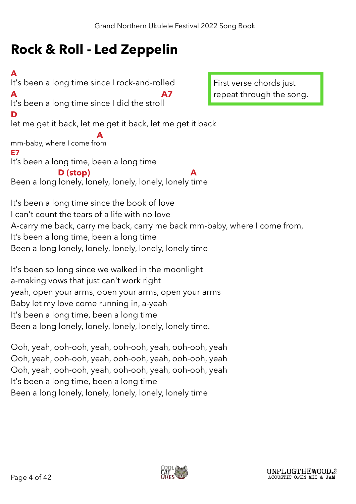# <span id="page-3-0"></span>**Rock & Roll - Led Zeppelin**

**A** It's been a long time since I rock-and-rolled **A A7** It's been a long time since I did the stroll **D** let me get it back, let me get it back, let me get it back **A** mm-baby, where I come from **E7** It's been a long time, been a long time **D** (stop) Been a long lonely, lonely, lonely, lonely, lonely time It's been a long time since the book of love I can't count the tears of a life with no love A-carry me back, carry me back, carry me back mm-baby, where I come from, First verse chords just

It's been a long time, been a long time

Been a long lonely, lonely, lonely, lonely, lonely time

It's been so long since we walked in the moonlight a-making vows that just can't work right yeah, open your arms, open your arms, open your arms Baby let my love come running in, a-yeah It's been a long time, been a long time Been a long lonely, lonely, lonely, lonely, lonely time.

Ooh, yeah, ooh-ooh, yeah, ooh-ooh, yeah, ooh-ooh, yeah Ooh, yeah, ooh-ooh, yeah, ooh-ooh, yeah, ooh-ooh, yeah Ooh, yeah, ooh-ooh, yeah, ooh-ooh, yeah, ooh-ooh, yeah It's been a long time, been a long time Been a long lonely, lonely, lonely, lonely, lonely time

repeat through the song.

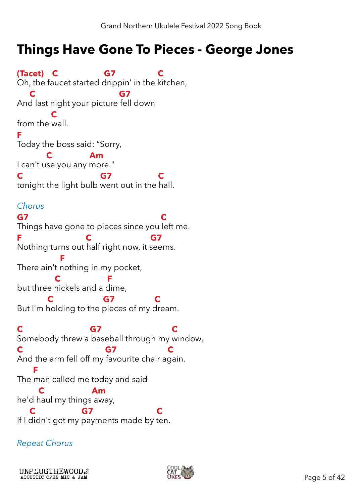# <span id="page-4-0"></span>**Things Have Gone To Pieces - George Jones**

**(Tacet) C G7 C**  Oh, the faucet started drippin' in the kitchen, **C G7** And last night your picture fell down **C** C from the wall. **F** Today the boss said: "Sorry, **C** Am I can't use you any more." **C G7 C**  tonight the light bulb went out in the hall. *Chorus*  **G7 C**  Things have gone to pieces since you left me. **F C G7**  Nothing turns out half right now, it seems. **F**  There ain't nothing in my pocket, **C** F but three nickels and a dime,  **C G7 C**  But I'm holding to the pieces of my dream. **C G7 C**  Somebody threw a baseball through my window, **C G7 C**  And the arm fell off my favourite chair again.  **F**  The man called me today and said **C Am**  he'd haul my things away,  **C G7 C**  If I didn't get my payments made by ten.

*Repeat Chorus*

UNPLUGTHEWOOD. ACOUSTIC OPEN MIC & JAM

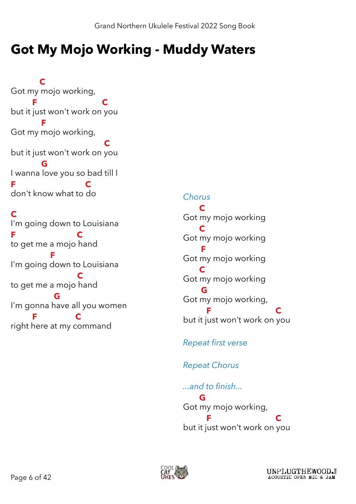# <span id="page-5-0"></span>**Got My Mojo Working - Muddy Waters**

 **C** Got my mojo working, **F C**  but it just won't work on you  **F**  Got my mojo working,  **C**  but it just won't work on you  **G**  I wanna love you so bad till I **F C**  don't know what to do **C**  I'm going down to Louisiana **F C**  to get me a mojo hand  **F**  I'm going down to Louisiana **C** C **C** to get me a mojo hand

**G**  I'm gonna have all you women **F C**  right here at my command

### *Chorus*

**C** Got my mojo working  **C**  Got my mojo working  **F**  Got my mojo working **C** Got my mojo working  **G**  Got my mojo working, **F** C but it just won't work on you

### *Repeat first verse*

*Repeat Chorus*

*...and to finish...*   **G**  Got my mojo working, **F** C but it just won't work on you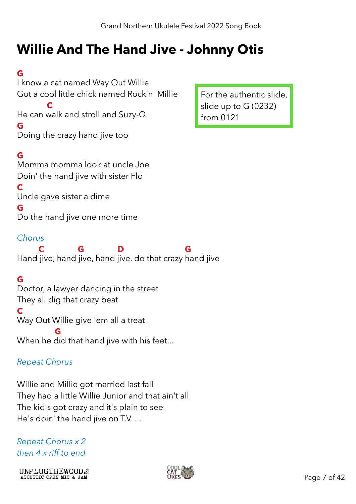# <span id="page-6-0"></span>**Willie And The Hand Jive - Johnny Otis**

**G**

I know a cat named Way Out Willie Got a cool little chick named Rockin' Millie

 **C** He can walk and stroll and Suzy-Q **G** Doing the crazy hand jive too

**G**

Momma momma look at uncle Joe Doin' the hand jive with sister Flo **C** Uncle gave sister a dime **G** Do the hand jive one more time

### *Chorus*

 **C G D G** Hand jive, hand jive, hand jive, do that crazy hand jive

**G** Doctor, a lawyer dancing in the street They all dig that crazy beat **C** Way Out Willie give 'em all a treat  **G** When he did that hand jive with his feet...

### *Repeat Chorus*

Willie and Millie got married last fall They had a little Willie Junior and that ain't all The kid's got crazy and it's plain to see He's doin' the hand jive on T.V. ...

*Repeat Chorus x 2 then 4 x riff to end*

UNPLUGTHEWOOD. ACOUSTIC OPEN MIC & JAM



For the authentic slide, slide up to G (0232) from 0121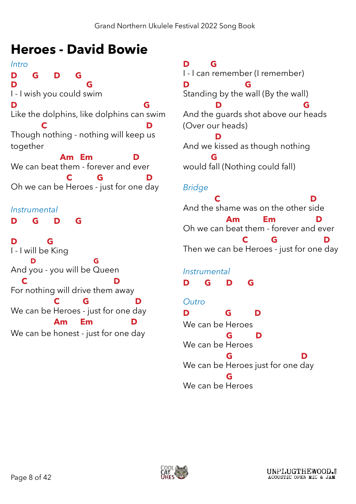# <span id="page-7-0"></span>**Heroes - David Bowie**

*Intro* **D G D G D G** I - I wish you could swim **D G**  Like the dolphins, like dolphins can swim **C** D Though nothing - nothing will keep us together **Am Em** We can beat them - forever and ever  **C G D** Oh we can be Heroes - just for one day

### *Instrumental*

**D G D G**

**D G**  I - I will be King  **D G** And you - you will be Queen **C** D For nothing will drive them away **C G D** We can be Heroes - just for one day **Am Em D** We can be honest - just for one day

**D G**  I - I can remember (I remember) **D G**  Standing by the wall (By the wall)  **D G**  And the guards shot above our heads (Over our heads)  **D** And we kissed as though nothing  **G** would fall (Nothing could fall)

### *Bridge*

**C** D And the shame was on the other side **Am Em D**  Oh we can beat them - forever and ever  **C G D**  Then we can be Heroes - just for one day

*Instrumental* **D G D G**

*Outro*  **D G D** We can be Heroes **G** D We can be Heroes **G D**  We can be Heroes just for one day **G**  We can be Heroes

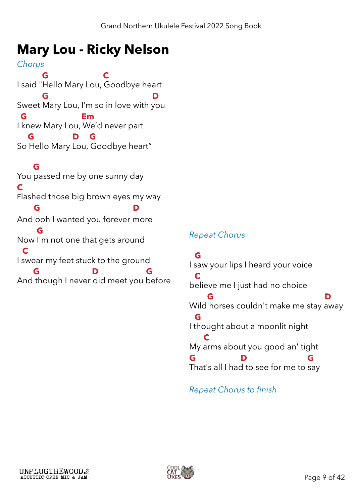# <span id="page-8-0"></span>**Mary Lou - Ricky Nelson**

*Chorus*   **G C**  I said "Hello Mary Lou, Goodbye heart **G** D Sweet Mary Lou, I'm so in love with you  **G Em**  I knew Mary Lou, We'd never part  **G D G** So Hello Mary Lou, Goodbye heart"

 **G**  You passed me by one sunny day **C** Flashed those big brown eyes my way **G D** And ooh I wanted you forever more  **G**  Now I'm not one that gets around  **C**  I swear my feet stuck to the ground  **G D G**  And though I never did meet you before

### *Repeat Chorus*

 **G**  I saw your lips I heard your voice  **C**  believe me I just had no choice **G** D D Wild horses couldn't make me stay away  **G**  I thought about a moonlit night  **C**  My arms about you good an' tight **G D G**  That's all I had to see for me to say

*Repeat Chorus to finish* 

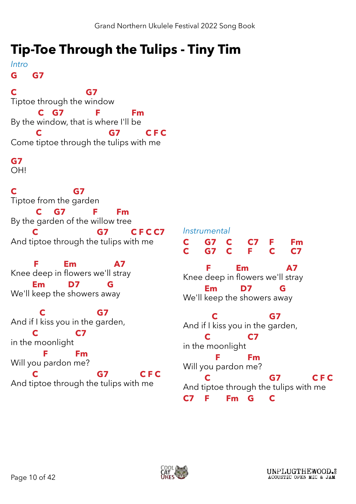# <span id="page-9-0"></span>**Tip-Toe Through the Tulips - Tiny Tim**

*Intro*  **G G7 C G7**  Tiptoe through the window  **C G7 F Fm** By the window, that is where I'll be **C** G7 CFC Come tiptoe through the tulips with me **G7**  OH!

**C G7** Tiptoe from the garden  **C G7 F Fm**  By the garden of the willow tree **C G7 C F C C7** And tiptoe through the tulips with me

 **F Em A7** Knee deep in flowers we'll stray  **Em D7 G**  We'll keep the showers away

**C** G7 And if I kiss you in the garden, **C C7** in the moonlight  **F Fm**  Will you pardon me? **C G7 C F C** And tiptoe through the tulips with me

### *Instrumental*

**C G7 C C7 F Fm C G7 C F C C7 F Em A7** Knee deep in flowers we'll stray **Em** D7 We'll keep the showers away **C** G7 And if I kiss you in the garden, **C C7** in the moonlight  **F Fm**  Will you pardon me? **C G7 C F C** And tiptoe through the tulips with me **C7 F Fm G C**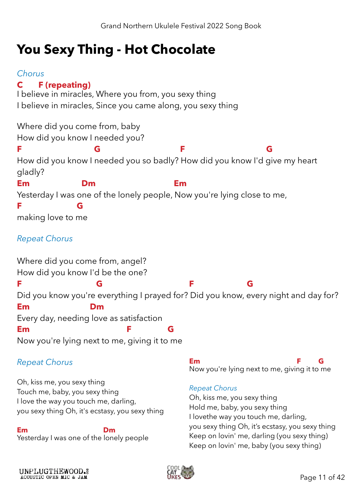# <span id="page-10-0"></span>**You Sexy Thing - Hot Chocolate**

### *Chorus* **C F (repeating)**  I believe in miracles, Where you from, you sexy thing I believe in miracles, Since you came along, you sexy thing Where did you come from, baby How did you know I needed you? **F G F G** How did you know I needed you so badly? How did you know I'd give my heart gladly? **Em Dm Em** Yesterday I was one of the lonely people, Now you're lying close to me, **F G** making love to me *Repeat Chorus*  Where did you come from, angel? How did you know I'd be the one? **F G F G** Did you know you're everything I prayed for? Did you know, every night and day for? **Em Dm** Every day, needing love as satisfaction **Em F G** Now you're lying next to me, giving it to me *Repeat Chorus* Oh, kiss me, you sexy thing Touch me, baby, you sexy thing I love the way you touch me, darling, you sexy thing Oh, it's ecstasy, you sexy thing **Em F G**  Now you're lying next to me, giving it to me *Repeat Chorus* Oh, kiss me, you sexy thing

**Em Dm**  Yesterday I was one of the lonely people Hold me, baby, you sexy thing I lovethe way you touch me, darling, you sexy thing Oh, it's ecstasy, you sexy thing Keep on lovin' me, darling (you sexy thing) Keep on lovin' me, baby (you sexy thing)

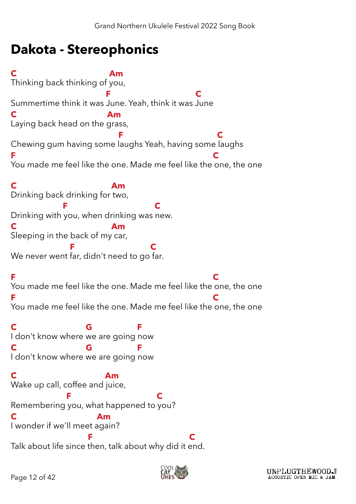# <span id="page-11-0"></span>**Dakota - Stereophonics**

**C Am**  Thinking back thinking of you, **F C** Summertime think it was June. Yeah, think it was June **C Am**  Laying back head on the grass, **F C**  Chewing gum having some laughs Yeah, having some laughs **F** C C You made me feel like the one. Made me feel like the one, the one **C Am**  Drinking back drinking for two, **F** C Drinking with you, when drinking was new. **C Am**  Sleeping in the back of my car, **F C** We never went far, didn't need to go far. **F** C C You made me feel like the one. Made me feel like the one, the one **F** C C You made me feel like the one. Made me feel like the one, the one **C G F**  I don't know where we are going now **C G F**  I don't know where we are going now **C Am**  Wake up call, coffee and juice, **F** C C Remembering you, what happened to you? **C Am**  I wonder if we'll meet again? **F** C C Talk about life since then, talk about why did it end.

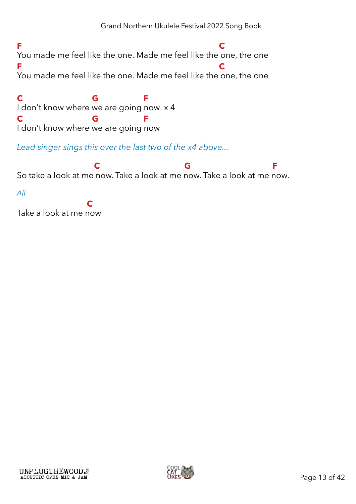**F** C C You made me feel like the one. Made me feel like the one, the one **F** C C You made me feel like the one. Made me feel like the one, the one

**C G F**  I don't know where we are going now x 4 **C G F**  I don't know where we are going now

*Lead singer sings this over the last two of the x4 above...* 

**C** G F So take a look at me now. Take a look at me now. Take a look at me now.

*All*

 **C**  Take a look at me now

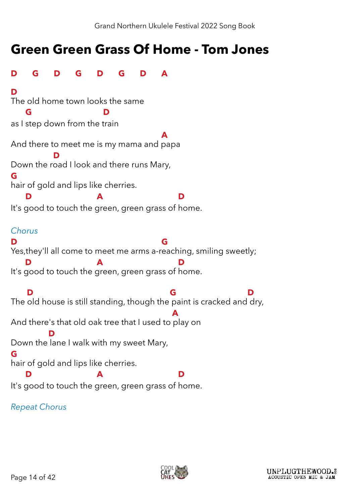# <span id="page-13-0"></span>**Green Green Grass Of Home - Tom Jones**

**D G D G D G D A D** The old home town looks the same **G D**  as I step down from the train **A**  And there to meet me is my mama and papa  **D**  Down the road I look and there runs Mary, **G** hair of gold and lips like cherries. **D A D**  It's good to touch the green, green grass of home. *Chorus* **D G**  Yes, they'll all come to meet me arms a-reaching, smiling sweetly;  **D A D**  It's good to touch the green, green grass of home.  **D G D**  The old house is still standing, though the paint is cracked and dry,  **A**  And there's that old oak tree that I used to play on **D** Down the lane I walk with my sweet Mary, **G** hair of gold and lips like cherries. **D A D**  It's good to touch the green, green grass of home.

### *Repeat Chorus*

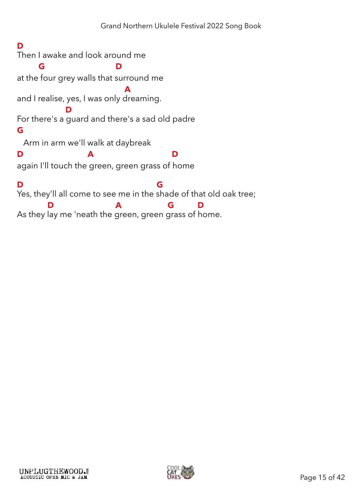### **D** Then I awake and look around me **G D**  at the four grey walls that surround me **A**  and I realise, yes, I was only dreaming.  **D**  For there's a guard and there's a sad old padre **G** Arm in arm we'll walk at daybreak **D A D**  again I'll touch the green, green grass of home **D G**  Yes, they'll all come to see me in the shade of that old oak tree;  **D A G D**

As they lay me 'neath the green, green grass of home.

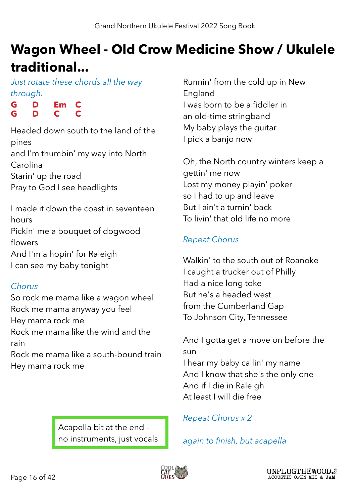# <span id="page-15-0"></span>**Wagon Wheel - Old Crow Medicine Show / Ukulele traditional...**

*Just rotate these chords all the way through.* 

**G D Em C G D C C**

Headed down south to the land of the pines and I'm thumbin' my way into North Carolina Starin' up the road Pray to God I see headlights

I made it down the coast in seventeen hours Pickin' me a bouquet of dogwood flowers And I'm a hopin' for Raleigh I can see my baby tonight

### *Chorus*

So rock me mama like a wagon wheel Rock me mama anyway you feel Hey mama rock me Rock me mama like the wind and the rain Rock me mama like a south-bound train

Hey mama rock me

Runnin' from the cold up in New England I was born to be a fiddler in an old-time stringband My baby plays the guitar I pick a banjo now

Oh, the North country winters keep a gettin' me now Lost my money playin' poker so I had to up and leave But I ain't a turnin' back To livin' that old life no more

### *Repeat Chorus*

Walkin' to the south out of Roanoke I caught a trucker out of Philly Had a nice long toke But he's a headed west from the Cumberland Gap To Johnson City, Tennessee

And I gotta get a move on before the sun I hear my baby callin' my name And I know that she's the only one And if I die in Raleigh At least I will die free

Acapella bit at the end no instruments, just vocals

### *Repeat Chorus x 2*

*again to finish, but acapella*

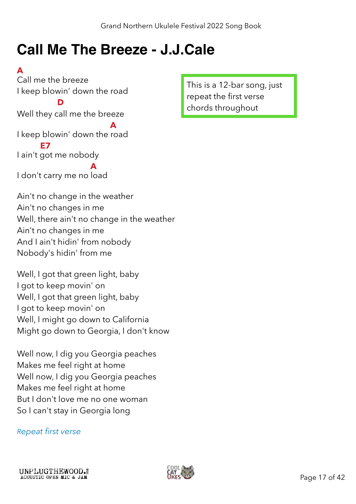# **Call Me The Breeze - J.J.Cale**

**A** Call me the breeze I keep blowin' down the road **D**  Well they call me the breeze  **A**  I keep blowin' down the road **E7**  I ain't got me nobody  **A**  I don't carry me no load

This is a 12-bar song, just repeat the first verse chords throughout

Ain't no change in the weather Ain't no changes in me Well, there ain't no change in the weather Ain't no changes in me And I ain't hidin' from nobody Nobody's hidin' from me

Well, I got that green light, baby I got to keep movin' on Well, I got that green light, baby I got to keep movin' on Well, I might go down to California Might go down to Georgia, I don't know

Well now, I dig you Georgia peaches Makes me feel right at home Well now, I dig you Georgia peaches Makes me feel right at home But I don't love me no one woman So I can't stay in Georgia long

### *Repeat first verse*

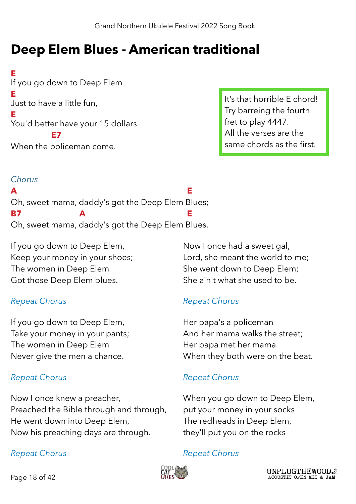# <span id="page-17-0"></span>**Deep Elem Blues - American traditional**

**E** If you go down to Deep Elem **E** Just to have a little fun, **E** You'd better have your 15 dollars **E7**  When the policeman come.

It's that horrible E chord! Try barreing the fourth fret to play 4447. All the verses are the same chords as the first.

### *Chorus*

**A E** Oh, sweet mama, daddy's got the Deep Elem Blues; **B7 A E** Oh, sweet mama, daddy's got the Deep Elem Blues.

If you go down to Deep Elem, Keep your money in your shoes; The women in Deep Elem Got those Deep Elem blues.

### *Repeat Chorus*

If you go down to Deep Elem, Take your money in your pants; The women in Deep Elem Never give the men a chance.

### *Repeat Chorus*

Now I once knew a preacher, Preached the Bible through and through, He went down into Deep Elem, Now his preaching days are through.

### *Repeat Chorus*

Now I once had a sweet gal, Lord, she meant the world to me; She went down to Deep Elem; She ain't what she used to be.

### *Repeat Chorus*

Her papa's a policeman And her mama walks the street; Her papa met her mama When they both were on the beat.

### *Repeat Chorus*

When you go down to Deep Elem, put your money in your socks The redheads in Deep Elem, they'll put you on the rocks

### *Repeat Chorus*

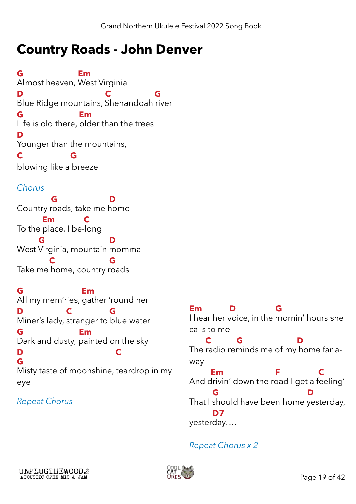# <span id="page-18-0"></span>**Country Roads - John Denver**

**G Em**  Almost heaven, West Virginia **D C G**  Blue Ridge mountains, Shenandoah river **G Em**  Life is old there, older than the trees **D** Younger than the mountains, **C G** blowing like a breeze

### *Chorus*

**G** D Country roads, take me home  **Em C**  To the place, I be-long **G D**  West Virginia, mountain momma **C** G Take me home, country roads

**G Em**  All my mem'ries, gather 'round her **D C G**  Miner's lady, stranger to blue water **G Em**  Dark and dusty, painted on the sky **D C G**  Misty taste of moonshine, teardrop in my eye

### *Repeat Chorus*

**Em D G**  I hear her voice, in the mornin' hours she calls to me  **C G D**  The radio reminds me of my home far away **Em F C**  And drivin' down the road I get a feeling' **G D**  That I should have been home yesterday,  **D7**  yesterday….

### *Repeat Chorus x 2*

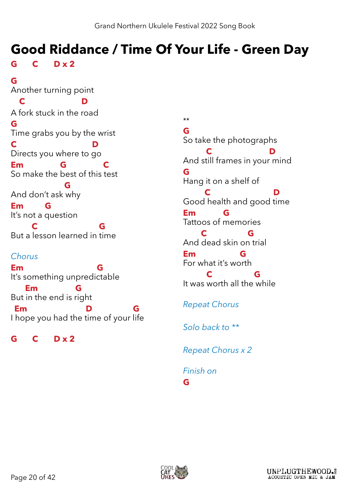## <span id="page-19-0"></span>**Good Riddance / Time Of Your Life - Green Day G C D x 2**

**G** Another turning point **C** D A fork stuck in the road **G** Time grabs you by the wrist **C D**  Directs you where to go **Em G C** So make the best of this test  **G** And don't ask why **Em G** It's not a question  **C G** But a lesson learned in time

### *Chorus*

**Em G**  It's something unpredictable **Em** But in the end is right  **Em D G**  I hope you had the time of your life

**G C D x 2** 

\*\* **G** So take the photographs **C** D And still frames in your mind **G**  Hang it on a shelf of **C D**  Good health and good time **Em** Tattoos of memories  **C G**  And dead skin on trial **Em G** For what it's worth **C** G It was worth all the while *Repeat Chorus Solo back to \*\* Repeat Chorus x 2*

*Finish on* **G**

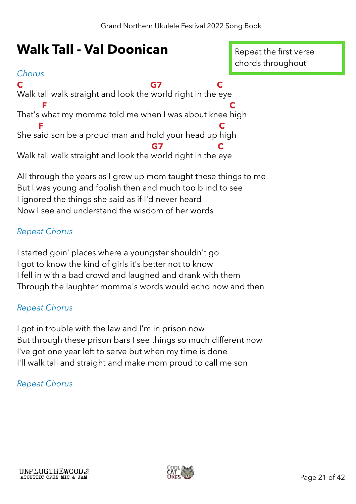Repeat the first verse chords throughout

# <span id="page-20-0"></span>**Walk Tall - Val Doonican**

### *Chorus*

C G7 C Walk tall walk straight and look the world right in the eye **F** C That's what my momma told me when I was about knee high **F** C C She said son be a proud man and hold your head up high  **G7 C**  Walk tall walk straight and look the world right in the eye

All through the years as I grew up mom taught these things to me But I was young and foolish then and much too blind to see I ignored the things she said as if I'd never heard Now I see and understand the wisdom of her words

### *Repeat Chorus*

I started goin' places where a youngster shouldn't go I got to know the kind of girls it's better not to know I fell in with a bad crowd and laughed and drank with them Through the laughter momma's words would echo now and then

### *Repeat Chorus*

I got in trouble with the law and I'm in prison now But through these prison bars I see things so much different now I've got one year left to serve but when my time is done I'll walk tall and straight and make mom proud to call me son

### *Repeat Chorus*

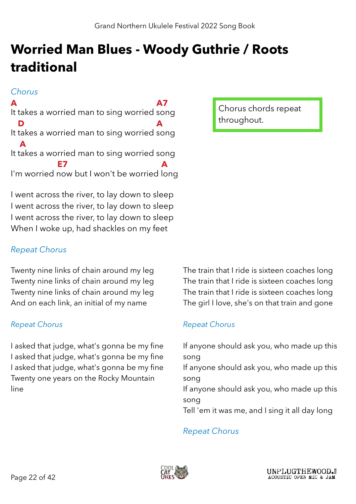# <span id="page-21-0"></span>**Worried Man Blues - Woody Guthrie / Roots traditional**

### *Chorus*

**A A7**  It takes a worried man to sing worried song **D A** It takes a worried man to sing worried song  **A**  It takes a worried man to sing worried song **E7 A** I'm worried now but I won't be worried long

I went across the river, to lay down to sleep I went across the river, to lay down to sleep I went across the river, to lay down to sleep When I woke up, had shackles on my feet

### *Repeat Chorus*

Twenty nine links of chain around my leg Twenty nine links of chain around my leg Twenty nine links of chain around my leg And on each link, an initial of my name

### *Repeat Chorus*

I asked that judge, what's gonna be my fine I asked that judge, what's gonna be my fine I asked that judge, what's gonna be my fine Twenty one years on the Rocky Mountain line

Chorus chords repeat throughout.

The train that I ride is sixteen coaches long The train that I ride is sixteen coaches long The train that I ride is sixteen coaches long The girl I love, she's on that train and gone

### *Repeat Chorus*

If anyone should ask you, who made up this song If anyone should ask you, who made up this song If anyone should ask you, who made up this song Tell 'em it was me, and I sing it all day long

### *Repeat Chorus*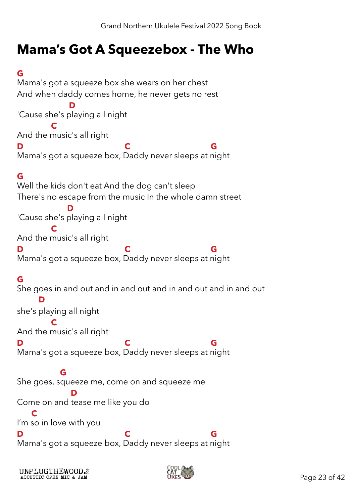# <span id="page-22-0"></span>**Mama's Got A Squeezebox - The Who**

**G** Mama's got a squeeze box she wears on her chest And when daddy comes home, he never gets no rest  **D**  'Cause she's playing all night  **C**  And the music's all right **D C G**  Mama's got a squeeze box, Daddy never sleeps at night **G** Well the kids don't eat And the dog can't sleep There's no escape from the music In the whole damn street  **D**  'Cause she's playing all night  **C**  And the music's all right **D C G**  Mama's got a squeeze box, Daddy never sleeps at night **G** She goes in and out and in and out and in and out and in and out **D**  she's playing all night  **C**  And the music's all right **D C G**  Mama's got a squeeze box, Daddy never sleeps at night **G**  She goes, squeeze me, come on and squeeze me  **D**  Come on and tease me like you do  **C**  I'm so in love with you **D C G**  Mama's got a squeeze box, Daddy never sleeps at night

UNPLUGTHEWOOD. ACOUSTIC OPEN MIC & JAM

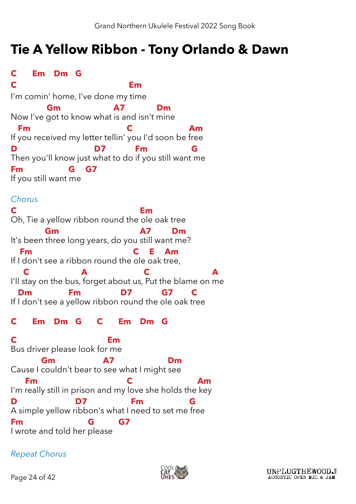# <span id="page-23-0"></span>**Tie A Yellow Ribbon - Tony Orlando & Dawn**

**C Em Dm G C Em** I'm comin' home, I've done my time  **Gm A7 Dm**  Now I've got to know what is and isn't mine **Fm C** Am If you received my letter tellin' you I'd soon be free **D D7 Fm G**  Then you'll know just what to do if you still want me **Fm G G7**  If you still want me *Chorus*  **C Em**  Oh, Tie a yellow ribbon round the ole oak tree  **Gm A7 Dm**  It's been three long years, do you still want me?  **Fm C E Am**  If I don't see a ribbon round the ole oak tree,  **C A C A**  I'll stay on the bus, forget about us, Put the blame on me  **Dm Fm D7 G7 C**  If I don't see a yellow ribbon round the ole oak tree **C Em Dm G C Em Dm G C Em**  Bus driver please look for me  **Gm A7 Dm**  Cause I couldn't bear to see what I might see **Fm** C Am I'm really still in prison and my love she holds the key **D D7 Fm G**  A simple yellow ribbon's what I need to set me free **Fm G G7**  I wrote and told her please

### *Repeat Chorus*

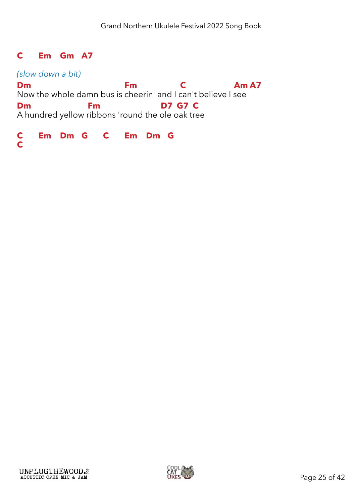### **C Em Gm A7**

*(slow down a bit)* **Dm Fm C Am A7**  Now the whole damn bus is cheerin' and I can't believe I see **Dm Fm D7 G7 C**  A hundred yellow ribbons 'round the ole oak tree

**C Em Dm G C Em Dm G C**

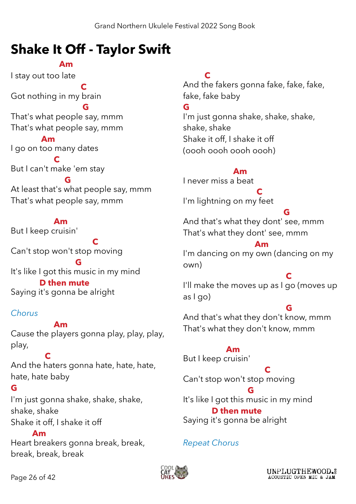# <span id="page-25-0"></span>**Shake It Off - Taylor Swift**

I stay out too late **C** C Got nothing in my brain  **G**  That's what people say, mmm That's what people say, mmm  **Am**  I go on too many dates **C**  But I can't make 'em stay  **G**  At least that's what people say, mmm That's what people say, mmm **Am**  But I keep cruisin'  **C** Can't stop won't stop moving  **G** 

It's like I got this music in my mind  **D then mute**  Saying it's gonna be alright

### *Chorus*

**Am**  Cause the players gonna play, play, play, play,

 **C**  And the haters gonna hate, hate, hate, hate, hate baby

### **G**

I'm just gonna shake, shake, shake, shake, shake Shake it off, I shake it off

**Am** Heart breakers gonna break, break, break, break, break

**C** And the fakers gonna fake, fake, fake, fake, fake baby **G** I'm just gonna shake, shake, shake, shake, shake Shake it off, I shake it off

(oooh oooh oooh oooh)

 **Am**  I never miss a beat

 **C**  I'm lightning on my feet

 **G** 

And that's what they dont' see, mmm That's what they dont' see, mmm

 **Am** 

I'm dancing on my own (dancing on my own)

 **C** I'll make the moves up as I go (moves up as I go)

 **G** And that's what they don't know, mmm That's what they don't know, mmm

**Am**  But I keep cruisin' *C* Can't stop won't stop moving  **G**  It's like I got this music in my mind  **D then mute**  Saying it's gonna be alright

### *Repeat Chorus*



UNPLUGTHEWOOD. ACOUSTIC OPEN MIC & JAM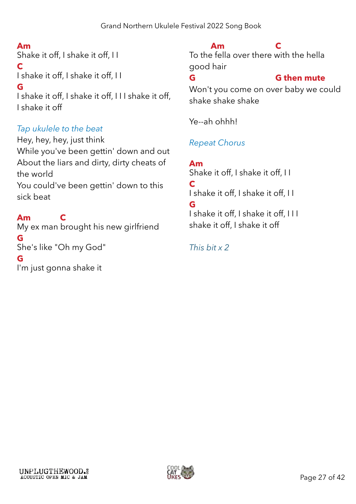### **Am**

Shake it off, I shake it off, I I

**C**  I shake it off, I shake it off, I I

**G**  I shake it off, I shake it off, I I I shake it off, I shake it off

### *Tap ukulele to the beat*

Hey, hey, hey, just think While you've been gettin' down and out About the liars and dirty, dirty cheats of the world You could've been gettin' down to this sick beat

### **Am C**

My ex man brought his new girlfriend **G**  She's like "Oh my God" **G**

I'm just gonna shake it

### **Am C**

To the fella over there with the hella good hair

### **G G then mute**

Won't you come on over baby we could shake shake shake

Ye--ah ohhh!

### *Repeat Chorus*

**Am**  Shake it off, I shake it off, I I **C**  I shake it off, I shake it off, I I **G**  I shake it off, I shake it off, I I I shake it off, I shake it off

*This bit x 2* 

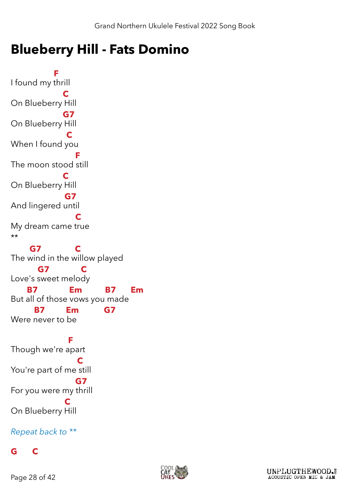# <span id="page-27-0"></span>**Blueberry Hill - Fats Domino**

**F**  I found my thrill  **C**  On Blueberry Hill  **G7**  On Blueberry Hill  **C** When I found you **F**  The moon stood still  **C**  On Blueberry Hill  **G7**  And lingered until **C**  My dream came true \*\*  **G7 C** The wind in the willow played  **G7 C**  Love's sweet melody  **B7 Em B7 Em**  But all of those vows you made  **B7 Em G7**  Were never to be  **F**  Though we're apart  **C**  You're part of me still **G7**  For you were my thrill  **C**  On Blueberry Hill *Repeat back to \*\**

### **G C**

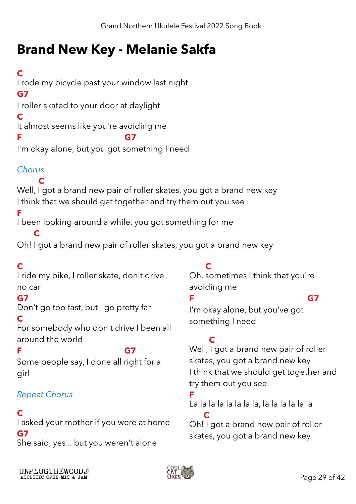# <span id="page-28-0"></span>**Brand New Key - Melanie Sakfa**

**C** I rode my bicycle past your window last night **G7** I roller skated to your door at daylight **C** It almost seems like you're avoiding me **F G7** I'm okay alone, but you got something I need *Chorus* 

**C**  Well, I got a brand new pair of roller skates, you got a brand new key I think that we should get together and try them out you see

**F**

I been looking around a while, you got something for me

**C** 

Oh! I got a brand new pair of roller skates, you got a brand new key

### **C**

I ride my bike, I roller skate, don't drive no car

### **G7**

Don't go too fast, but I go pretty far

**C** 

For somebody who don't drive I been all around the world

**F G7** Some people say, I done all right for a girl

### *Repeat Chorus*

### **C**

I asked your mother if you were at home **G7**  She said, yes .. but you weren't alone

**C** Oh, sometimes I think that you're avoiding me

### **F** G7

I'm okay alone, but you've got something I need

 **C** Well, I got a brand new pair of roller skates, you got a brand new key I think that we should get together and try them out you see

**F**  La la la la la la la la, la la la la la la  **C**  Oh! I got a brand new pair of roller skates, you got a brand new key

UNPLUGTHEWOOD.8 ACOUSTIC OPEN MIC & JAM

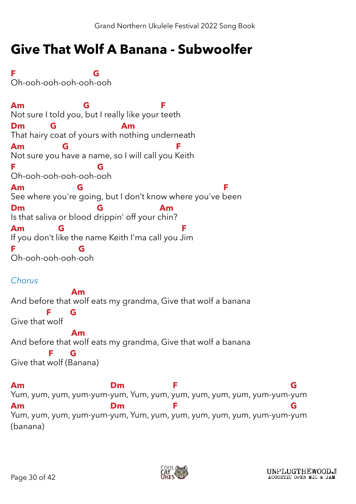# <span id="page-29-0"></span>**Give That Wolf A Banana - Subwoolfer**

**F G** Oh-ooh-ooh-ooh-ooh-ooh

**Am G F** Not sure I told you, but I really like your teeth **Dm G Am** That hairy coat of yours with nothing underneath **Am G F** Not sure you have a name, so I will call you Keith **F G** Oh-ooh-ooh-ooh-ooh-ooh **Am G F** See where you're going, but I don't know where you've been **Dm G Am** Is that saliva or blood drippin' off your chin? **Am G F** If you don't like the name Keith I'ma call you Jim **F G** Oh-ooh-ooh-ooh-ooh

### *Chorus*

 **Am** And before that wolf eats my grandma, Give that wolf a banana  **F G** Give that wolf *Am* And before that wolf eats my grandma, Give that wolf a banana  **F G** Give that wolf (Banana)

**Am Dm F G** Yum, yum, yum, yum-yum-yum, Yum, yum, yum, yum, yum, yum, yum-yum-yum **Am Dm F G** Yum, yum, yum, yum-yum-yum, Yum, yum, yum, yum, yum, yum, yum-yum-yum (banana)

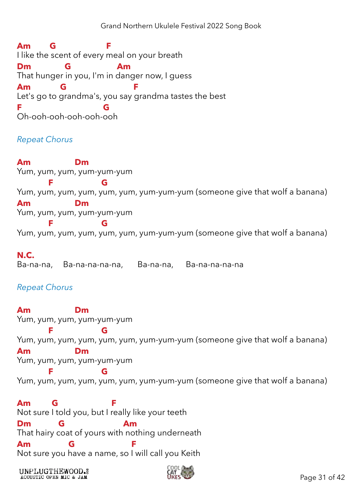**Am G F** I like the scent of every meal on your breath **Dm G Am** That hunger in you, I'm in danger now, I guess **Am G F** Let's go to grandma's, you say grandma tastes the best **F G** Oh-ooh-ooh-ooh-ooh-ooh

### *Repeat Chorus*

**Am Dm** Yum, yum, yum, yum-yum-yum **E** G Yum, yum, yum, yum, yum, yum, yum-yum-yum (someone give that wolf a banana) **Am Dm** Yum, yum, yum, yum-yum-yum **E** G Yum, yum, yum, yum, yum, yum, yum-yum-yum (someone give that wolf a banana)

### **N.C.**

Ba-na-na, Ba-na-na-na-na, Ba-na-na, Ba-na-na-na-na

### *Repeat Chorus*

**Am Dm** Yum, yum, yum, yum-yum-yum **E** G Yum, yum, yum, yum, yum, yum, yum-yum-yum (someone give that wolf a banana) **Am Dm** Yum, yum, yum, yum-yum-yum **E** G Yum, yum, yum, yum, yum, yum, yum-yum-yum (someone give that wolf a banana)

**Am** Not sure I told you, but I really like your teeth **Dm G Am** That hairy coat of yours with nothing underneath **Am G F** Not sure you have a name, so I will call you Keith

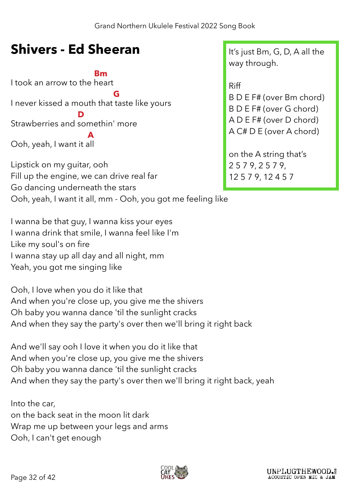# <span id="page-31-0"></span>**Shivers - Ed Sheeran**

**Bm** Bm Bm Bm I took an arrow to the heart **G** I never kissed a mouth that taste like yours **D** Strawberries and somethin' more *A* Ooh, yeah, I want it all

Lipstick on my guitar, ooh Fill up the engine, we can drive real far Go dancing underneath the stars Ooh, yeah, I want it all, mm - Ooh, you got me feeling like

I wanna be that guy, I wanna kiss your eyes I wanna drink that smile, I wanna feel like I'm Like my soul's on fire I wanna stay up all day and all night, mm Yeah, you got me singing like

Ooh, I love when you do it like that And when you're close up, you give me thе shivers Oh baby you wanna dance 'til the sunlight cracks And whеn they say the party's over then we'll bring it right back

And we'll say ooh I love it when you do it like that And when you're close up, you give me the shivers Oh baby you wanna dance 'til the sunlight cracks And when they say the party's over then we'll bring it right back, yeah

Into the car, on the back seat in the moon lit dark Wrap me up between your legs and arms Ooh, I can't get enough

It's just Bm, G, D, A all the way through.

Riff B D E F# (over Bm chord) B D E F# (over G chord) A D E F# (over D chord) A C# D E (over A chord)

on the A string that's 2 5 7 9, 2 5 7 9, 12 5 7 9, 12 4 5 7

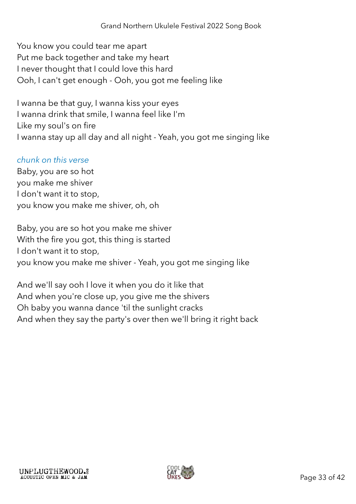You know you could tear me apart Put me back together and take my heart I never thought that I could love this hard Ooh, I can't get enough - Ooh, you got me feeling like

I wanna be that guy, I wanna kiss your eyes I wanna drink that smile, I wanna feel like I'm Like my soul's on fire I wanna stay up all day and all night - Yeah, you got me singing like

### *chunk on this verse*

Baby, you are so hot you make me shiver I don't want it to stop, you know you make me shiver, oh, oh

Baby, you are so hot you make me shiver With the fire you got, this thing is started I don't want it to stop, you know you make me shiver - Yeah, you got me singing like

And we'll say ooh I love it when you do it like that And when you're close up, you give me the shivers Oh baby you wanna dance 'til the sunlight cracks And when they say the party's over then we'll bring it right back

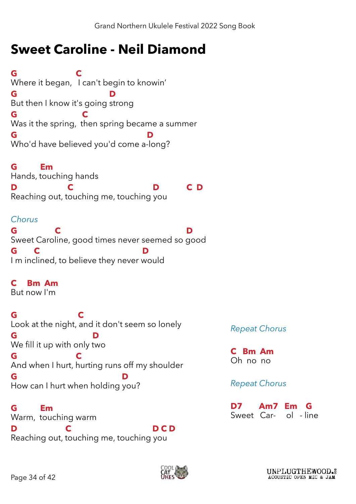# <span id="page-33-0"></span>**Sweet Caroline - Neil Diamond**

**G C** Where it began, I can't begin to knowin' **G D** But then I know it's going strong **G C** Was it the spring, then spring became a summer **G D** Who'd have believed you'd come a-long?

**G Em** Hands, touching hands **D C D C D** Reaching out, touching me, touching you

### *Chorus*

**G C D** Sweet Caroline, good times never seemed so good **G C D** I m inclined, to believe they never would

### **C Bm Am**

But now I'm

**G C** Look at the night, and it don't seem so lonely **G D** We fill it up with only two **G C** And when I hurt, hurting runs off my shoulder **G D** How can I hurt when holding you?

**G Em** Warm, touching warm **D** C D C D C D Reaching out, touching me, touching you

*Repeat Chorus*

**C Bm Am** Oh no no

*Repeat Chorus*

**D7 Am7 Em G** Sweet Car- ol - line

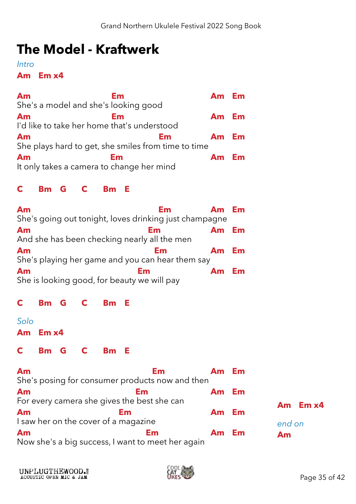# <span id="page-34-0"></span>**The Model - Kraftwerk**

*Intro*

### **Am Em x4**

| Am                                          | Em                                                  | Am Em     |           |
|---------------------------------------------|-----------------------------------------------------|-----------|-----------|
| She's a model and she's looking good        |                                                     |           |           |
| Am                                          | Em                                                  | Am Em     |           |
| I'd like to take her home that's understood |                                                     |           |           |
| Am                                          | Em                                                  | <b>Am</b> | Em.       |
|                                             |                                                     |           |           |
|                                             | She plays hard to get, she smiles from time to time |           |           |
| Am                                          | Em                                                  | <b>Am</b> | <u>Em</u> |

### **C Bm G C Bm E**

| Am                                                     | Em | <b>Am</b> | Em  |
|--------------------------------------------------------|----|-----------|-----|
| She's going out tonight, loves drinking just champagne |    |           |     |
| Am                                                     | Em | <b>Am</b> | Em. |
| And she has been checking nearly all the men           |    |           |     |
| Am                                                     | Em | <b>Am</b> | Em. |
| She's playing her game and you can hear them say       |    |           |     |
| Am<br>Em                                               |    | Am        | Em. |
|                                                        |    |           |     |

**C Bm G C Bm E**

*Solo*

**Am Em x4**

**C Bm G C Bm E**

**Am Em Am Em** She's posing for consumer products now and then **Am Em Am Em** For every camera she gives the best she can **Am Em Am Em** I saw her on the cover of a magazine **Am Em Am Em** Now she's a big success, I want to meet her again **Am Em x4** *end on* **Am**

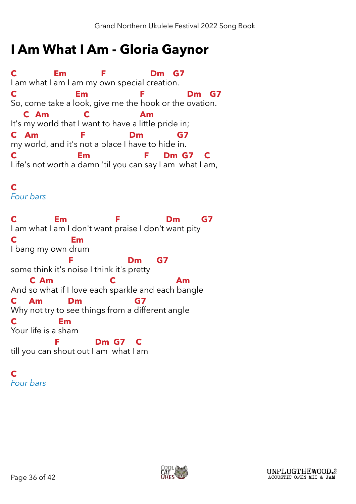# <span id="page-35-0"></span>**I Am What I Am - Gloria Gaynor**

**C Em F Dm G7** I am what I am I am my own special creation. **C Em F Dm G7** So, come take a look, give me the hook or the ovation.  **C Am C Am** It's my world that I want to have a little pride in; **C Am F Dm G7** my world, and it's not a place I have to hide in. Em F Dm G7 C Life's not worth a damn 'til you can say I am what I am,

**C** *Four bars*

**C Em F Dm G7** I am what I am I don't want praise I don't want pity **C Em**  I bang my own drum **F** Dm G7 some think it's noise I think it's pretty  **C Am C Am** And so what if I love each sparkle and each bangle **C Am Dm G7** Why not try to see things from a different angle **C Em**  Your life is a sham  **F Dm G7 C** till you can shout out I am what I am

**C** *Four bars*

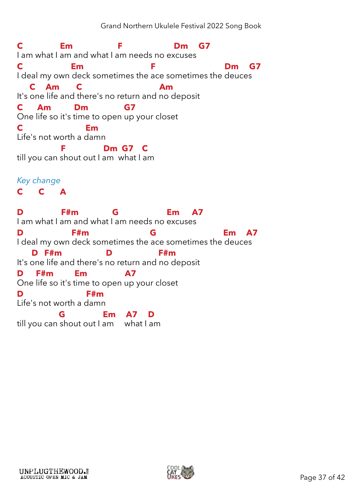**C Em F Dm G7** I am what I am and what I am needs no excuses **C Em F Dm G7** I deal my own deck sometimes the ace sometimes the deuces  **C Am C Am** It's one life and there's no return and no deposit **C Am Dm G7** One life so it's time to open up your closet **C Em**  Life's not worth a damn  **F Dm G7 C** till you can shout out I am what I am *Key change*

**C C A**

**D F#m G Em A7** I am what I am and what I am needs no excuses **D F#m G Em A7** I deal my own deck sometimes the ace sometimes the deuces  **D F#m D F#m** It's one life and there's no return and no deposit **D F#m Em A7** One life so it's time to open up your closet **D F#m** Life's not worth a damn **G** Em A7 till you can shout out I am what I am

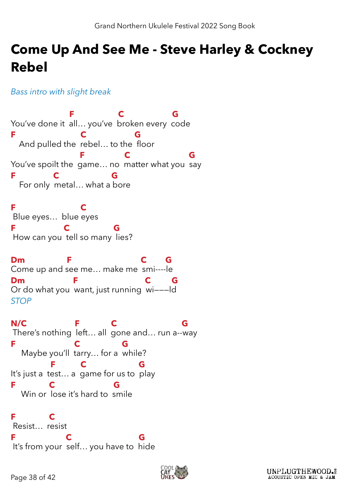# <span id="page-37-0"></span>**Come Up And See Me - Steve Harley & Cockney Rebel**

*Bass intro with slight break*

**F** C G You've done it all… you've broken every code **F C G**  And pulled the rebel… to the floor **E** C G You've spoilt the game… no matter what you say **F C G**  For only metal… what a bore **F C** Blue eyes… blue eyes **F C G**  How can you tell so many lies? **Dm F C G** Come up and see me… make me smi----le **Dm F C G** Or do what you want, just running wi———ld *STOP* **N/C F C G**  There's nothing left… all gone and… run a--way **F C G**  Maybe you'll tarry… for a while? **F** C G It's just a test… a game for us to play **F C G**  Win or lose it's hard to smile **F C**  Resist… resist **F C G** 

It's from your self… you have to hide

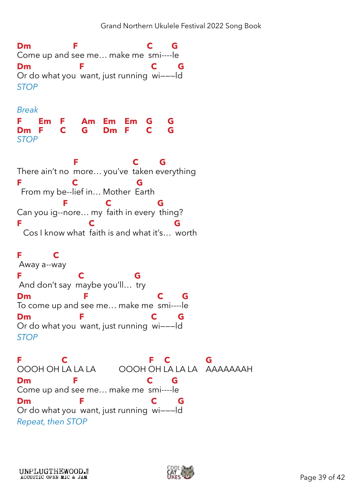**Dm F C G** Come up and see me… make me smi----le **Dm F C G** Or do what you want, just running wi———ld *STOP Break*  **F Em F Am Em Em G G Dm F C G Dm F C G** *STOP* **F** C G There ain't no more… you've taken everything **F C G**  From my be--lief in… Mother Earth **F** C G Can you ig--nore… my faith in every thing? **F C G**  Cos I know what faith is and what it's… worth **F C**  Away a--way **F C G**  And don't say maybe you'll… try **Dm F C G** To come up and see me… make me smi----le **Dm F C G** Or do what you want, just running wi———ld *STOP* **F C F C G** OOOH OH LA LA LA OOOH OH LA LA LA AAAAAAAH **Dm F C G** Come up and see me… make me smi----le **Dm F C G** Or do what you want, just running wi———ld *Repeat, then STOP*

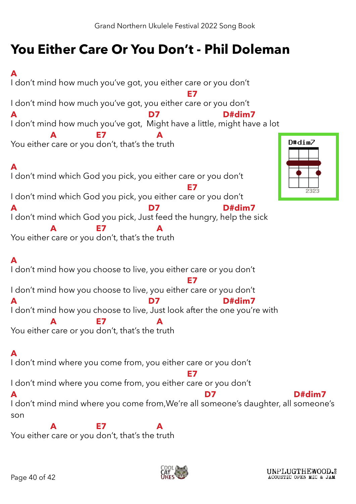# <span id="page-39-0"></span>**You Either Care Or You Don't - Phil Doleman**



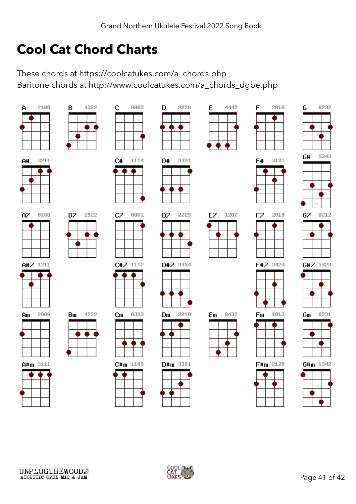# <span id="page-40-0"></span>**Cool Cat Chord Charts**

These chords at https://coolcatukes.com/a\_chords.php Baritone chords at http://www.coolcatukes.com/a\_chords\_dgbe.php